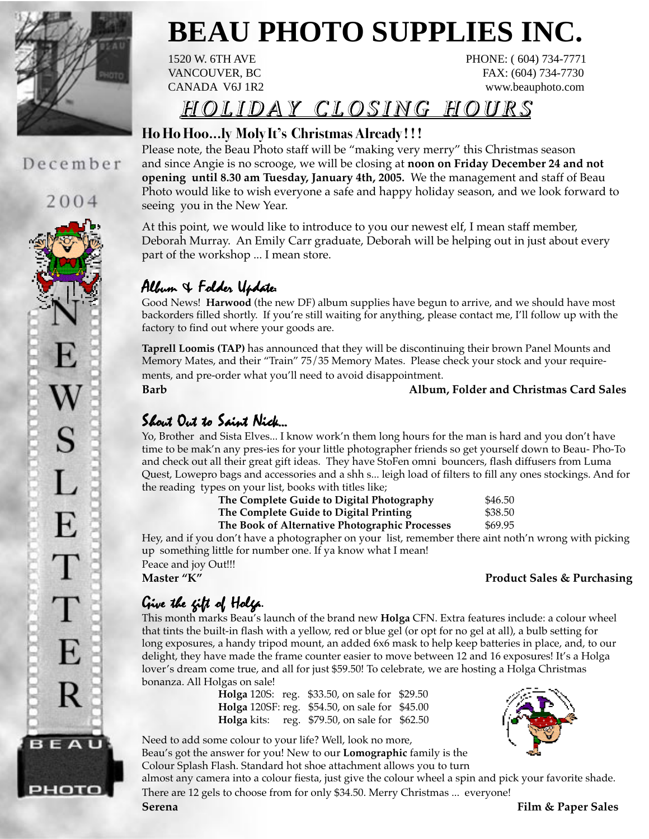

## December

2004 S L E  $\top$ Т E R BEAU

рното

# **BEAU PHOTO SUPPLIES INC.**

1520 W. 6TH AVE PHONE: (604) 734-7771 VANCOUVER, BC FAX: (604) 734-7730 CANADA V6J 1R2 www.beauphoto.com

# HOLIDAY CLOSING HOURS HOLIDAY CLOSING HOURS HOLIDAY CLOSING

### **Ho Ho Hoo...ly Moly It's Christmas Already ! ! !**

Please note, the Beau Photo staff will be "making very merry" this Christmas season and since Angie is no scrooge, we will be closing at **noon on Friday December 24 and not opening until 8.30 am Tuesday, January 4th, 2005.** We the management and staff of Beau Photo would like to wish everyone a safe and happy holiday season, and we look forward to seeing you in the New Year.

At this point, we would like to introduce to you our newest elf, I mean staff member, Deborah Murray. An Emily Carr graduate, Deborah will be helping out in just about every part of the workshop ... I mean store.

# Album  $4$  Folder Update:

Good News! **Harwood** (the new DF) album supplies have begun to arrive, and we should have most backorders filled shortly. If you're still waiting for anything, please contact me, I'll follow up with the factory to find out where your goods are.

**Taprell Loomis (TAP)** has announced that they will be discontinuing their brown Panel Mounts and Memory Mates, and their "Train" 75/35 Memory Mates. Please check your stock and your requirements, and pre-order what you'll need to avoid disappointment.

### **Barb Album, Folder and Christmas Card Sales**

# Shout Out to Saint Nick...

Yo, Brother and Sista Elves... I know work'n them long hours for the man is hard and you don't have time to be mak'n any pres-ies for your little photographer friends so get yourself down to Beau- Pho-To and check out all their great gift ideas. They have StoFen omni bouncers, flash diffusers from Luma Quest, Lowepro bags and accessories and a shh s... leigh load of filters to fill any ones stockings. And for the reading types on your list, books with titles like;

| The Complete Guide to Digital Photography       | \$46.50                    |
|-------------------------------------------------|----------------------------|
| The Complete Guide to Digital Printing          | \$38.50                    |
| The Pools of Alternative Dhotographic Dragonece | $\triangle CO$ $\triangle$ |

**The Book of Alternative Photographic Processes** \$69.95

Hey, and if you don't have a photographer on your list, remember there aint noth'n wrong with picking up something little for number one. If ya know what I mean!

Peace and joy Out!!!<br>Master "K"

### **Product Sales & Purchasing**

# Give the fift of Holgs.

This month marks Beau's launch of the brand new **Holga** CFN. Extra features include: a colour wheel that tints the built-in flash with a yellow, red or blue gel (or opt for no gel at all), a bulb setting for long exposures, a handy tripod mount, an added 6x6 mask to help keep batteries in place, and, to our delight, they have made the frame counter easier to move between 12 and 16 exposures! It's a Holga lover's dream come true, and all for just \$59.50! To celebrate, we are hosting a Holga Christmas bonanza. All Holgas on sale!

**Holga** 120S: reg. \$33.50, on sale for \$29.50 **Holga** 120SF: reg. \$54.50, on sale for \$45.00 **Holga** kits: reg. \$79.50, on sale for \$62.50

Need to add some colour to your life? Well, look no more, Beau's got the answer for you! New to our **Lomographic** family is the

Colour Splash Flash. Standard hot shoe attachment allows you to turn

almost any camera into a colour fiesta, just give the colour wheel a spin and pick your favorite shade. There are 12 gels to choose from for only \$34.50. Merry Christmas ... everyone!

**Serena Film & Paper Sales**